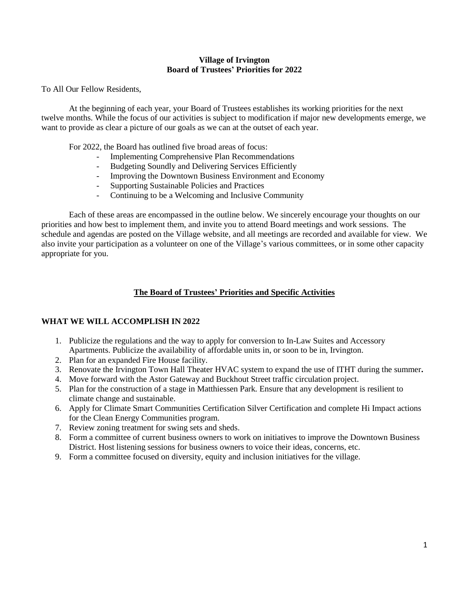#### **Village of Irvington Board of Trustees' Priorities for 2022**

To All Our Fellow Residents,

At the beginning of each year, your Board of Trustees establishes its working priorities for the next twelve months. While the focus of our activities is subject to modification if major new developments emerge, we want to provide as clear a picture of our goals as we can at the outset of each year.

For 2022, the Board has outlined five broad areas of focus:

- Implementing Comprehensive Plan Recommendations
- Budgeting Soundly and Delivering Services Efficiently
- Improving the Downtown Business Environment and Economy
- Supporting Sustainable Policies and Practices
- Continuing to be a Welcoming and Inclusive Community

Each of these areas are encompassed in the outline below. We sincerely encourage your thoughts on our priorities and how best to implement them, and invite you to attend Board meetings and work sessions. The schedule and agendas are posted on the Village website, and all meetings are recorded and available for view. We also invite your participation as a volunteer on one of the Village's various committees, or in some other capacity appropriate for you.

# **The Board of Trustees' Priorities and Specific Activities**

#### **WHAT WE WILL ACCOMPLISH IN 2022**

- 1. Publicize the regulations and the way to apply for conversion to In-Law Suites and Accessory Apartments. Publicize the availability of affordable units in, or soon to be in, Irvington.
- 2. Plan for an expanded Fire House facility.
- 3. Renovate the Irvington Town Hall Theater HVAC system to expand the use of ITHT during the summer**.**
- 4. Move forward with the Astor Gateway and Buckhout Street traffic circulation project.
- 5. Plan for the construction of a stage in Matthiessen Park. Ensure that any development is resilient to climate change and sustainable.
- 6. Apply for Climate Smart Communities Certification Silver Certification and complete Hi Impact actions for the Clean Energy Communities program.
- 7. Review zoning treatment for swing sets and sheds.
- 8. Form a committee of current business owners to work on initiatives to improve the Downtown Business District. Host listening sessions for business owners to voice their ideas, concerns, etc.
- 9. Form a committee focused on diversity, equity and inclusion initiatives for the village.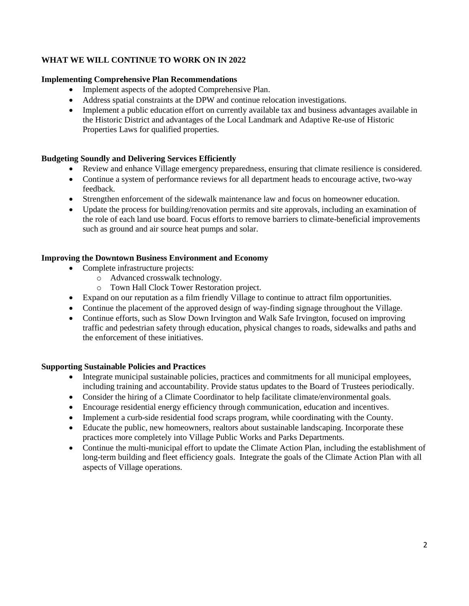# **WHAT WE WILL CONTINUE TO WORK ON IN 2022**

### **Implementing Comprehensive Plan Recommendations**

- Implement aspects of the adopted Comprehensive Plan.
- Address spatial constraints at the DPW and continue relocation investigations.
- Implement a public education effort on currently available tax and business advantages available in the Historic District and advantages of the Local Landmark and Adaptive Re-use of Historic Properties Laws for qualified properties.

### **Budgeting Soundly and Delivering Services Efficiently**

- Review and enhance Village emergency preparedness, ensuring that climate resilience is considered.
- Continue a system of performance reviews for all department heads to encourage active, two-way feedback.
- Strengthen enforcement of the sidewalk maintenance law and focus on homeowner education.
- Update the process for building/renovation permits and site approvals, including an examination of the role of each land use board. Focus efforts to remove barriers to climate-beneficial improvements such as ground and air source heat pumps and solar.

### **Improving the Downtown Business Environment and Economy**

- Complete infrastructure projects:
	- o Advanced crosswalk technology.
	- o Town Hall Clock Tower Restoration project.
- Expand on our reputation as a film friendly Village to continue to attract film opportunities.
- Continue the placement of the approved design of way-finding signage throughout the Village.
- Continue efforts, such as Slow Down Irvington and Walk Safe Irvington, focused on improving traffic and pedestrian safety through education, physical changes to roads, sidewalks and paths and the enforcement of these initiatives.

#### **Supporting Sustainable Policies and Practices**

- Integrate municipal sustainable policies, practices and commitments for all municipal employees, including training and accountability. Provide status updates to the Board of Trustees periodically.
- Consider the hiring of a Climate Coordinator to help facilitate climate/environmental goals.
- Encourage residential energy efficiency through communication, education and incentives.
- Implement a curb-side residential food scraps program, while coordinating with the County.
- Educate the public, new homeowners, realtors about sustainable landscaping. Incorporate these practices more completely into Village Public Works and Parks Departments.
- Continue the multi-municipal effort to update the Climate Action Plan, including the establishment of long-term building and fleet efficiency goals. Integrate the goals of the Climate Action Plan with all aspects of Village operations.